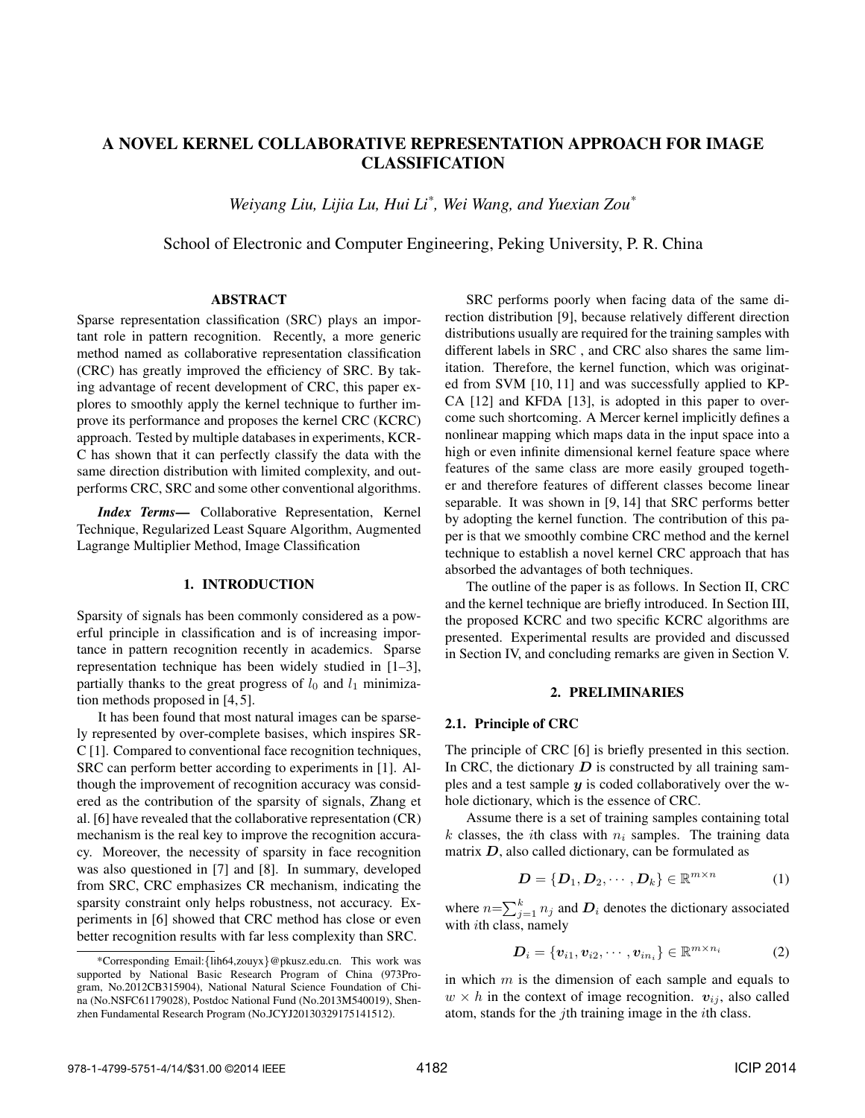# A NOVEL KERNEL COLLABORATIVE REPRESENTATION APPROACH FOR IMAGE CLASSIFICATION

*Weiyang Liu, Lijia Lu, Hui Li\* , Wei Wang, and Yuexian Zou\**

School of Electronic and Computer Engineering, Peking University, P. R. China

### ABSTRACT

Sparse representation classification (SRC) plays an important role in pattern recognition. Recently, a more generic method named as collaborative representation classification (CRC) has greatly improved the efficiency of SRC. By taking advantage of recent development of CRC, this paper explores to smoothly apply the kernel technique to further improve its performance and proposes the kernel CRC (KCRC) approach. Tested by multiple databases in experiments, KCR-C has shown that it can perfectly classify the data with the same direction distribution with limited complexity, and outperforms CRC, SRC and some other conventional algorithms.

*Index Terms*— Collaborative Representation, Kernel Technique, Regularized Least Square Algorithm, Augmented Lagrange Multiplier Method, Image Classification

### 1. INTRODUCTION

Sparsity of signals has been commonly considered as a powerful principle in classification and is of increasing importance in pattern recognition recently in academics. Sparse representation technique has been widely studied in [1–3], partially thanks to the great progress of  $l_0$  and  $l_1$  minimization methods proposed in [4, 5].

It has been found that most natural images can be sparsely represented by over-complete basises, which inspires SR-C [1]. Compared to conventional face recognition techniques, SRC can perform better according to experiments in [1]. Although the improvement of recognition accuracy was considered as the contribution of the sparsity of signals, Zhang et al. [6] have revealed that the collaborative representation (CR) mechanism is the real key to improve the recognition accuracy. Moreover, the necessity of sparsity in face recognition was also questioned in [7] and [8]. In summary, developed from SRC, CRC emphasizes CR mechanism, indicating the sparsity constraint only helps robustness, not accuracy. Experiments in [6] showed that CRC method has close or even better recognition results with far less complexity than SRC.

SRC performs poorly when facing data of the same direction distribution [9], because relatively different direction distributions usually are required for the training samples with different labels in SRC , and CRC also shares the same limitation. Therefore, the kernel function, which was originated from SVM [10, 11] and was successfully applied to KP-CA [12] and KFDA [13], is adopted in this paper to overcome such shortcoming. A Mercer kernel implicitly defines a nonlinear mapping which maps data in the input space into a high or even infinite dimensional kernel feature space where features of the same class are more easily grouped together and therefore features of different classes become linear separable. It was shown in [9, 14] that SRC performs better by adopting the kernel function. The contribution of this paper is that we smoothly combine CRC method and the kernel technique to establish a novel kernel CRC approach that has absorbed the advantages of both techniques.

The outline of the paper is as follows. In Section II, CRC and the kernel technique are briefly introduced. In Section III, the proposed KCRC and two specific KCRC algorithms are presented. Experimental results are provided and discussed in Section IV, and concluding remarks are given in Section V.

### 2. PRELIMINARIES

### 2.1. Principle of CRC

The principle of CRC [6] is briefly presented in this section. In CRC, the dictionary  $D$  is constructed by all training samples and a test sample  $y$  is coded collaboratively over the whole dictionary, which is the essence of CRC.

Assume there is a set of training samples containing total k classes, the *i*th class with  $n_i$  samples. The training data matrix  $D$ , also called dictionary, can be formulated as

$$
\mathbf{D} = {\mathbf{D}_1, \mathbf{D}_2, \cdots, \mathbf{D}_k} \in \mathbb{R}^{m \times n}
$$
 (1)

where  $n=\sum_{j=1}^{k} n_j$  and  $D_i$  denotes the dictionary associated with *i*th class, namely

$$
\boldsymbol{D}_i = \{\boldsymbol{v}_{i1}, \boldsymbol{v}_{i2}, \cdots, \boldsymbol{v}_{in_i}\} \in \mathbb{R}^{m \times n_i} \tag{2}
$$

in which  $m$  is the dimension of each sample and equals to  $w \times h$  in the context of image recognition.  $v_{ij}$ , also called atom, stands for the jth training image in the ith class.

<sup>\*</sup>Corresponding Email:{lih64,zouyx}@pkusz.edu.cn. This work was supported by National Basic Research Program of China (973Program, No.2012CB315904), National Natural Science Foundation of China (No.NSFC61179028), Postdoc National Fund (No.2013M540019), Shenzhen Fundamental Research Program (No.JCYJ20130329175141512).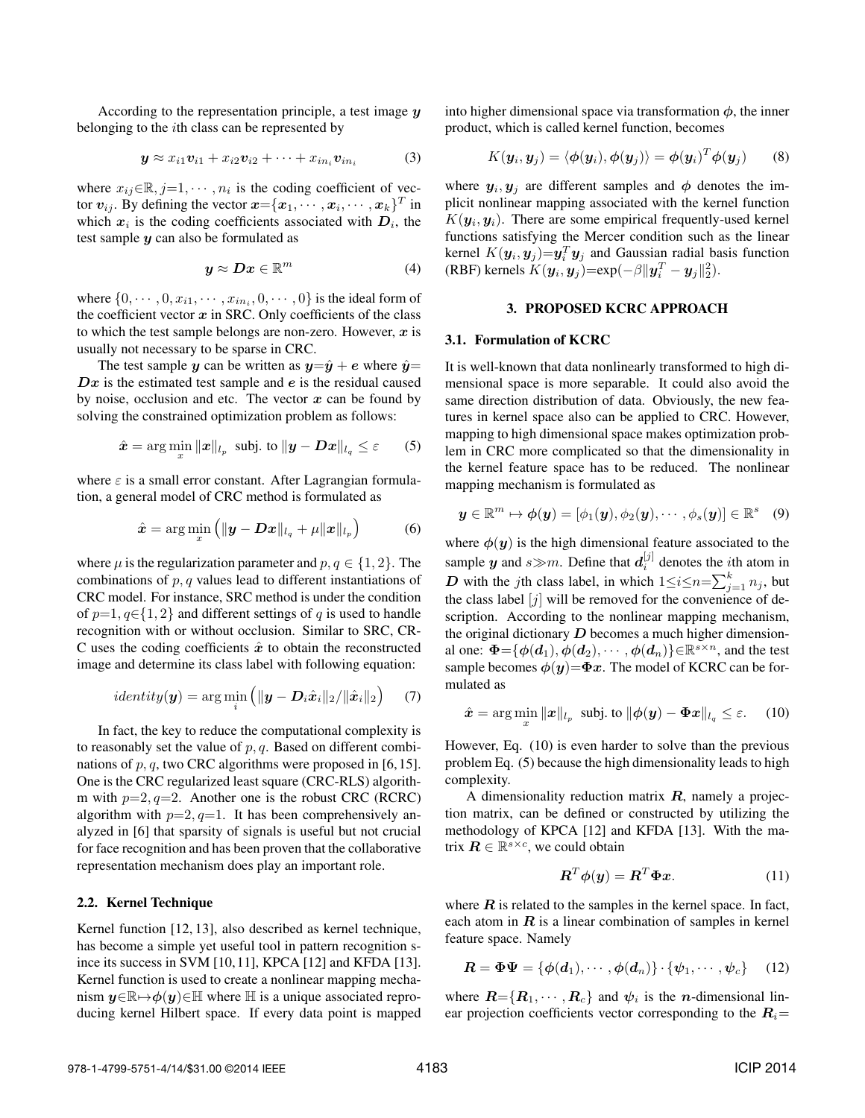According to the representation principle, a test image  $\boldsymbol{\eta}$ belonging to the ith class can be represented by

$$
\mathbf{y} \approx x_{i1}\mathbf{v}_{i1} + x_{i2}\mathbf{v}_{i2} + \cdots + x_{in_i}\mathbf{v}_{in_i}
$$
 (3)

where  $x_{ij} \in \mathbb{R}, j=1, \cdots, n_i$  is the coding coefficient of vector  $v_{ij}$ . By defining the vector  $x = \{x_1, \cdots, x_i, \cdots, x_k\}^T$  in which  $x_i$  is the coding coefficients associated with  $D_i$ , the test sample  $\boldsymbol{\psi}$  can also be formulated as

$$
y \approx Dx \in \mathbb{R}^m \tag{4}
$$

where  $\{0, \dots, 0, x_{i1}, \dots, x_{in_i}, 0, \dots, 0\}$  is the ideal form of the coefficient vector  $x$  in SRC. Only coefficients of the class to which the test sample belongs are non-zero. However,  $x$  is usually not necessary to be sparse in CRC.

The test sample y can be written as  $y=\hat{y}+e$  where  $\hat{y}=$  $Dx$  is the estimated test sample and e is the residual caused by noise, occlusion and etc. The vector  $x$  can be found by solving the constrained optimization problem as follows:

$$
\hat{\boldsymbol{x}} = \arg\min_{\boldsymbol{x}} \|\boldsymbol{x}\|_{l_p} \text{ subj. to } \|\boldsymbol{y} - \boldsymbol{D}\boldsymbol{x}\|_{l_q} \leq \varepsilon \qquad (5)
$$

where  $\varepsilon$  is a small error constant. After Lagrangian formulation, a general model of CRC method is formulated as

$$
\hat{\boldsymbol{x}} = \arg\min_{\boldsymbol{x}} \left( \|\boldsymbol{y} - \boldsymbol{D}\boldsymbol{x}\|_{l_q} + \mu \|\boldsymbol{x}\|_{l_p} \right) \tag{6}
$$

where  $\mu$  is the regularization parameter and  $p, q \in \{1, 2\}$ . The combinations of  $p, q$  values lead to different instantiations of CRC model. For instance, SRC method is under the condition of  $p=1, q \in \{1, 2\}$  and different settings of q is used to handle recognition with or without occlusion. Similar to SRC, CR-C uses the coding coefficients  $\hat{x}$  to obtain the reconstructed image and determine its class label with following equation:

$$
identity(\boldsymbol{y}) = \arg\min_{i} (||\boldsymbol{y} - \boldsymbol{D}_i \hat{\boldsymbol{x}}_i||_2 / ||\hat{\boldsymbol{x}}_i||_2)
$$
 (7)

In fact, the key to reduce the computational complexity is to reasonably set the value of  $p, q$ . Based on different combinations of  $p, q$ , two CRC algorithms were proposed in [6, 15]. One is the CRC regularized least square (CRC-RLS) algorithm with  $p=2$ ,  $q=2$ . Another one is the robust CRC (RCRC) algorithm with  $p=2$ ,  $q=1$ . It has been comprehensively analyzed in [6] that sparsity of signals is useful but not crucial for face recognition and has been proven that the collaborative representation mechanism does play an important role.

## 2.2. Kernel Technique

Kernel function [12, 13], also described as kernel technique, has become a simple yet useful tool in pattern recognition since its success in SVM [10,11], KPCA [12] and KFDA [13]. Kernel function is used to create a nonlinear mapping mechanism  $y \in \mathbb{R} \rightarrow \phi(y) \in \mathbb{H}$  where  $\mathbb{H}$  is a unique associated reproducing kernel Hilbert space. If every data point is mapped into higher dimensional space via transformation  $\phi$ , the inner product, which is called kernel function, becomes

$$
K(\mathbf{y}_i, \mathbf{y}_j) = \langle \phi(\mathbf{y}_i), \phi(\mathbf{y}_j) \rangle = \phi(\mathbf{y}_i)^T \phi(\mathbf{y}_j)
$$
(8)

where  $y_i, y_j$  are different samples and  $\phi$  denotes the implicit nonlinear mapping associated with the kernel function  $K(\mathbf{y}_i, \mathbf{y}_i)$ . There are some empirical frequently-used kernel functions satisfying the Mercer condition such as the linear kernel  $K(\mathbf{y}_i, \mathbf{y}_j) = \mathbf{y}_i^T \mathbf{y}_j$  and Gaussian radial basis function (RBF) kernels  $K(\boldsymbol{y}_i, \boldsymbol{y}_j) = \exp(-\beta \|\boldsymbol{y}_i^T - \boldsymbol{y}_j\|_2^2)$ .

### 3. PROPOSED KCRC APPROACH

# 3.1. Formulation of KCRC

It is well-known that data nonlinearly transformed to high dimensional space is more separable. It could also avoid the same direction distribution of data. Obviously, the new features in kernel space also can be applied to CRC. However, mapping to high dimensional space makes optimization problem in CRC more complicated so that the dimensionality in the kernel feature space has to be reduced. The nonlinear mapping mechanism is formulated as

$$
\bm{y}\in\mathbb{R}^m\mapsto \bm{\phi}(\bm{y})=[\phi_1(\bm{y}),\phi_2(\bm{y}),\cdots,\phi_s(\bm{y})]\in\mathbb{R}^s\quad(9)
$$

where  $\phi(y)$  is the high dimensional feature associated to the sample  $y$  and  $s \gg m$ . Define that  $d_i^{[j]}$  denotes the *i*th atom in D with the jth class label, in which  $1 \le i \le n = \sum_{j=1}^{k} n_j$ , but the class label  $[i]$  will be removed for the convenience of description. According to the nonlinear mapping mechanism, the original dictionary  $D$  becomes a much higher dimensional one:  $\Phi = {\phi(a_1), \dot{\phi}(a_2), \cdots, \phi(a_n)} \in \mathbb{R}^{s \times n}$ , and the test sample becomes  $\phi(y)=\Phi x$ . The model of KCRC can be formulated as

$$
\hat{\boldsymbol{x}} = \arg\min_{x} \|\boldsymbol{x}\|_{l_p} \text{ subj. to } \|\boldsymbol{\phi}(\boldsymbol{y}) - \boldsymbol{\Phi}\boldsymbol{x}\|_{l_q} \leq \varepsilon. \quad (10)
$$

However, Eq. (10) is even harder to solve than the previous problem Eq. (5) because the high dimensionality leads to high complexity.

A dimensionality reduction matrix  $R$ , namely a projection matrix, can be defined or constructed by utilizing the methodology of KPCA [12] and KFDA [13]. With the matrix  $\boldsymbol{R} \in \mathbb{R}^{s \times c}$ , we could obtain

$$
\boldsymbol{R}^T \boldsymbol{\phi}(\boldsymbol{y}) = \boldsymbol{R}^T \boldsymbol{\Phi} \boldsymbol{x}.
$$
 (11)

where  $R$  is related to the samples in the kernel space. In fact, each atom in  $R$  is a linear combination of samples in kernel feature space. Namely

$$
\mathbf{R} = \mathbf{\Phi}\mathbf{\Psi} = \{\boldsymbol{\phi}(\boldsymbol{d}_1), \cdots, \boldsymbol{\phi}(\boldsymbol{d}_n)\} \cdot \{\boldsymbol{\psi}_1, \cdots, \boldsymbol{\psi}_c\} \qquad (12)
$$

where  $\boldsymbol{R} = \{\boldsymbol{R}_1, \cdots, \boldsymbol{R}_c\}$  and  $\psi_i$  is the *n*-dimensional linear projection coefficients vector corresponding to the  $R_i=$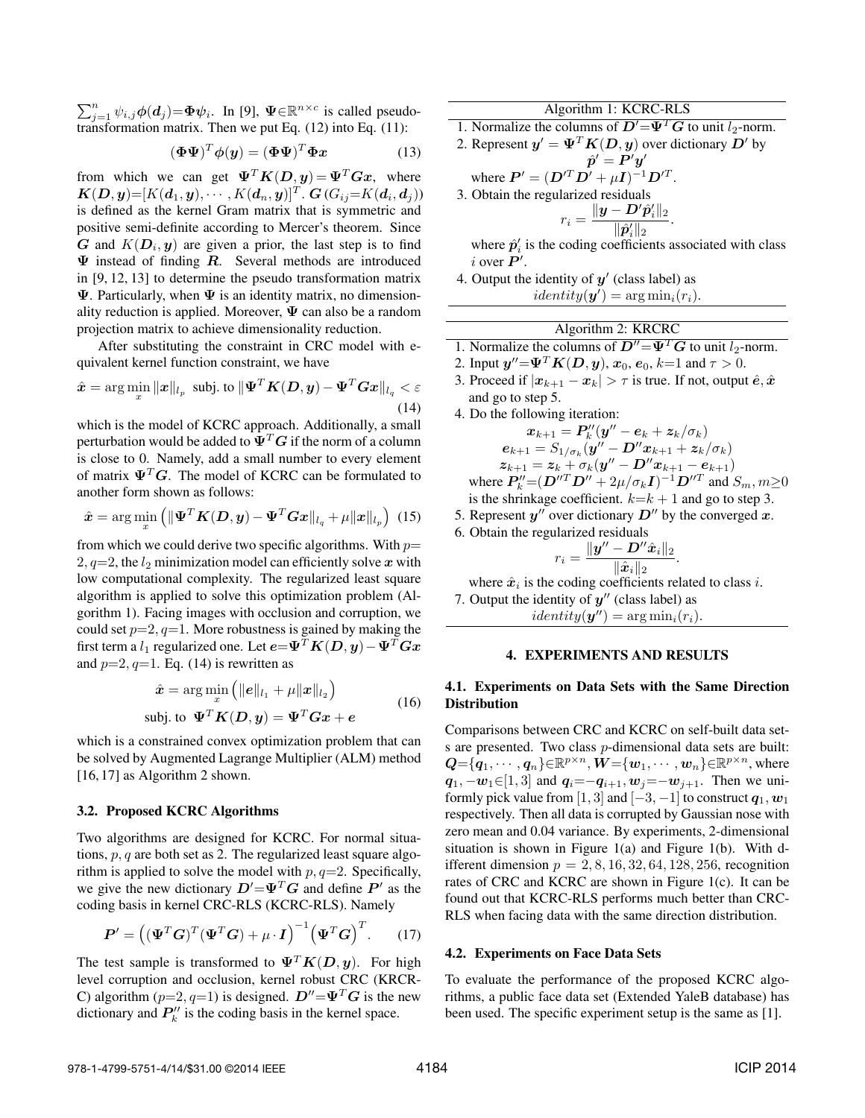$\sum_{j=1}^{n} \psi_{i,j} \phi(d_j) = \Phi \psi_i$ . In [9],  $\Psi \in \mathbb{R}^{n \times c}$  is called pseudotransformation matrix. Then we put Eq. (12) into Eq. (11):

$$
(\mathbf{\Phi}\mathbf{\Psi})^T \phi(\mathbf{y}) = (\mathbf{\Phi}\mathbf{\Psi})^T \mathbf{\Phi} \mathbf{x}
$$
 (13)

from which we can get  $\Psi^{T}K(D, y) = \Psi^{T}Gx$ , where  $\boldsymbol{K}(\boldsymbol{D},\boldsymbol{y})\!\!=\!\![K(\boldsymbol{d}_1,\boldsymbol{y}),\cdots,K(\boldsymbol{d}_n,\boldsymbol{y})]^T$  .  $\boldsymbol{G}$   $(G_{ij}\!\!=\!\!K(\boldsymbol{d}_i,\boldsymbol{d}_j))$ is defined as the kernel Gram matrix that is symmetric and positive semi-definite according to Mercer's theorem. Since G and  $K(D_i, y)$  are given a prior, the last step is to find  $\Psi$  instead of finding  $R$ . Several methods are introduced in [9, 12, 13] to determine the pseudo transformation matrix  $\Psi$ . Particularly, when  $\Psi$  is an identity matrix, no dimensionality reduction is applied. Moreover,  $\Psi$  can also be a random projection matrix to achieve dimensionality reduction.

After substituting the constraint in CRC model with equivalent kernel function constraint, we have

$$
\hat{\boldsymbol{x}} = \arg\min_{\boldsymbol{x}} \|\boldsymbol{x}\|_{l_p} \text{ subj. to } \|\boldsymbol{\Psi}^T \boldsymbol{K}(\boldsymbol{D}, \boldsymbol{y}) - \boldsymbol{\Psi}^T \boldsymbol{G} \boldsymbol{x}\|_{l_q} < \varepsilon \tag{14}
$$

which is the model of KCRC approach. Additionally, a small perturbation would be added to  $\Psi^T G$  if the norm of a column is close to 0. Namely, add a small number to every element of matrix  $\Psi^T G$ . The model of KCRC can be formulated to another form shown as follows:

$$
\hat{\boldsymbol{x}} = \arg\min_{\boldsymbol{x}} \left( \|\boldsymbol{\Psi}^T \boldsymbol{K}(\boldsymbol{D}, \boldsymbol{y}) - \boldsymbol{\Psi}^T \boldsymbol{G} \boldsymbol{x} \|_{l_q} + \mu \|\boldsymbol{x}\|_{l_p} \right) \tag{15}
$$

from which we could derive two specific algorithms. With  $p=$ 2,  $q=2$ , the  $l_2$  minimization model can efficiently solve x with low computational complexity. The regularized least square algorithm is applied to solve this optimization problem (Algorithm 1). Facing images with occlusion and corruption, we could set  $p=2$ ,  $q=1$ . More robustness is gained by making the first term a  $l_1$  regularized one. Let  $e = \Psi^T K(D, y) - \Psi^T G x$ and  $p=2$ ,  $q=1$ . Eq. (14) is rewritten as

$$
\hat{\boldsymbol{x}} = \arg\min_{\boldsymbol{x}} \left( \|\boldsymbol{e}\|_{l_1} + \mu \|\boldsymbol{x}\|_{l_2} \right)
$$
  
subj. to 
$$
\boldsymbol{\Psi}^T \boldsymbol{K}(\boldsymbol{D}, \boldsymbol{y}) = \boldsymbol{\Psi}^T \boldsymbol{G} \boldsymbol{x} + \boldsymbol{e}
$$
 (16)

which is a constrained convex optimization problem that can be solved by Augmented Lagrange Multiplier (ALM) method [16, 17] as Algorithm 2 shown.

### 3.2. Proposed KCRC Algorithms

Two algorithms are designed for KCRC. For normal situations,  $p, q$  are both set as 2. The regularized least square algorithm is applied to solve the model with  $p, q=2$ . Specifically, we give the new dictionary  $D' = \Psi^T G$  and define  $P'$  as the coding basis in kernel CRC-RLS (KCRC-RLS). Namely

$$
\boldsymbol{P}' = \left( (\boldsymbol{\Psi}^T \boldsymbol{G})^T (\boldsymbol{\Psi}^T \boldsymbol{G}) + \mu \cdot \boldsymbol{I} \right)^{-1} \left( \boldsymbol{\Psi}^T \boldsymbol{G} \right)^T. \tag{17}
$$

The test sample is transformed to  $\Psi^T K(D, y)$ . For high level corruption and occlusion, kernel robust CRC (KRCR-C) algorithm ( $p=2, q=1$ ) is designed.  $D'' = \Psi^T G$  is the new dictionary and  $P_k''$  is the coding basis in the kernel space.

Algorithm 1: KCRC-RLS

1. Normalize the columns of  $D' = \Psi^T G$  to unit  $l_2$ -norm.

2. Represent 
$$
y' = \Psi^T K(D, y)
$$
 over dictionary  $D'$  by  
\n $\hat{p}' = P'y'$ 

where 
$$
P' = (D'^T D' + \mu I)^{-1} D'^T
$$
.  
3. Obtain the regularized residuals

$$
r_i = \frac{\|\bm{y} - \bm{D}'\hat{\bm{p}}_i'\|_2}{\|\hat{\bm{p}}_i'\|_2}.
$$

where  $\hat{p}'_i$  is the coding coefficients associated with class i over  $P'$ .

4. Output the identity of  $y'$  (class label) as  $identity(\mathbf{y}') = \arg \min_i(r_i).$ 

# Algorithm 2: KRCRC

1. Normalize the columns of 
$$
D'' = \Psi^T G
$$
 to unit  $l_2$ -norm.

2. Input  $\mathbf{y}''{=}\mathbf{\Psi}^T\boldsymbol{K}(\boldsymbol{D},\boldsymbol{y}),$   $\boldsymbol{x}_0,$   $e_0,$   $k{=}1$  and  $\tau > 0$ .

3. Proceed if  $|x_{k+1} - x_k| > \tau$  is true. If not, output  $\hat{e}, \hat{x}$ and go to step 5.

4. Do the following iteration:  
\n
$$
x_{k+1} = P_k''(y'' - e_k + z_k/\sigma_k)
$$
\n
$$
e_{k+1} = S_{1/\sigma_k}(y'' - D''x_{k+1} + z_k/\sigma_k)
$$
\n
$$
z_{k+1} = z_k + \sigma_k(y'' - D''x_{k+1} - e_{k+1})
$$
\nwhere  $P_k'' = (D''^T D'' + 2\mu/\sigma_k \mathbf{I})^{-1} D''^T$  and  $S_m, m \ge 0$   
\nis the shrinkage coefficient.  $k=k+1$  and go to step 3.

- 5. Represent  $y''$  over dictionary  $D''$  by the converged x.
- 6. Obtain the regularized residuals

$$
r_i = \frac{\|\boldsymbol{y}^{\prime\prime} - \boldsymbol{D}^{\prime\prime}\hat{\boldsymbol{x}}_i\|_2}{\|\hat{\boldsymbol{x}}_i\|_2}.
$$

where  $\hat{x}_i$  is the coding coefficients related to class i.

7. Output the identity of  $y''$  (class label) as

 $identity(\mathbf{y}'') = \arg \min_i(r_i).$ 

## 4. EXPERIMENTS AND RESULTS

# 4.1. Experiments on Data Sets with the Same Direction Distribution

Comparisons between CRC and KCRC on self-built data sets are presented. Two class p-dimensional data sets are built:  $\bm{Q} {=} \{\bm{q}_1, \cdots, \bm{q}_n\} {\in} \mathbb{R}^{p\times n}, \bm{W}{=} \{\bm{w}_1, \cdots, \bm{w}_n\} {\in} \mathbb{R}^{p\times n},$  where  $q_1, -w_1 \in [1, 3]$  and  $q_i = -q_{i+1}, w_i = -w_{i+1}$ . Then we uniformly pick value from [1, 3] and [−3, −1] to construct  $q_1, w_1$ respectively. Then all data is corrupted by Gaussian nose with zero mean and 0.04 variance. By experiments, 2-dimensional situation is shown in Figure 1(a) and Figure 1(b). With different dimension  $p = 2, 8, 16, 32, 64, 128, 256$ , recognition rates of CRC and KCRC are shown in Figure 1(c). It can be found out that KCRC-RLS performs much better than CRC-RLS when facing data with the same direction distribution.

### 4.2. Experiments on Face Data Sets

To evaluate the performance of the proposed KCRC algorithms, a public face data set (Extended YaleB database) has been used. The specific experiment setup is the same as [1].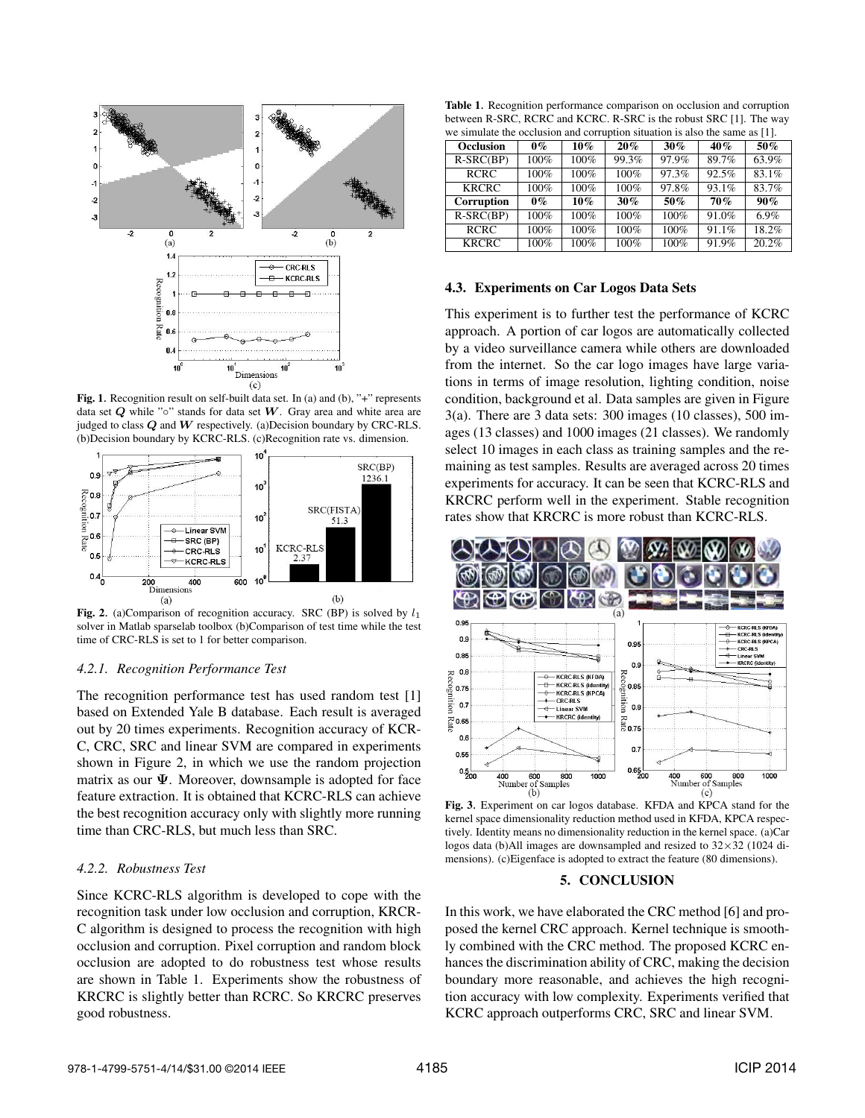

Fig. 1. Recognition result on self-built data set. In (a) and (b), "+" represents data set  $Q$  while " $\circ$ " stands for data set  $W$ . Gray area and white area are judged to class  $Q$  and  $W$  respectively. (a)Decision boundary by CRC-RLS. (b)Decision boundary by KCRC-RLS. (c)Recognition rate vs. dimension.



Fig. 2. (a)Comparison of recognition accuracy. SRC (BP) is solved by  $l_1$ solver in Matlab sparselab toolbox (b)Comparison of test time while the test time of CRC-RLS is set to 1 for better comparison.

#### *4.2.1. Recognition Performance Test*

The recognition performance test has used random test [1] based on Extended Yale B database. Each result is averaged out by 20 times experiments. Recognition accuracy of KCR-C, CRC, SRC and linear SVM are compared in experiments shown in Figure 2, in which we use the random projection matrix as our  $\Psi$ . Moreover, downsample is adopted for face feature extraction. It is obtained that KCRC-RLS can achieve the best recognition accuracy only with slightly more running time than CRC-RLS, but much less than SRC.

### *4.2.2. Robustness Test*

Since KCRC-RLS algorithm is developed to cope with the recognition task under low occlusion and corruption, KRCR-C algorithm is designed to process the recognition with high occlusion and corruption. Pixel corruption and random block occlusion are adopted to do robustness test whose results are shown in Table 1. Experiments show the robustness of KRCRC is slightly better than RCRC. So KRCRC preserves good robustness.

Table 1. Recognition performance comparison on occlusion and corruption between R-SRC, RCRC and KCRC. R-SRC is the robust SRC [1]. The way

| we simulate the occlusion and corruption situation is also the same as [1]. |       |        |        |       |       |       |
|-----------------------------------------------------------------------------|-------|--------|--------|-------|-------|-------|
| <b>Occlusion</b>                                                            | $0\%$ | $10\%$ | $20\%$ | 30%   | 40%   | 50%   |
| $R-SRC(BP)$                                                                 | 100%  | 100%   | 99.3%  | 97.9% | 89.7% | 63.9% |
| <b>RCRC</b>                                                                 | 100%  | 100%   | 100%   | 97.3% | 92.5% | 83.1% |
| <b>KRCRC</b>                                                                | 100%  | 100%   | 100%   | 97.8% | 93.1% | 83.7% |
| Corruption                                                                  | $0\%$ | $10\%$ | $30\%$ | 50%   | 70%   | 90%   |
| $R-SRC(BP)$                                                                 | 100%  | 100%   | 100%   | 100%  | 91.0% | 6.9%  |
| <b>RCRC</b>                                                                 | 100%  | 100%   | 100%   | 100%  | 91.1% | 18.2% |
| <b>KRCRC</b>                                                                | 100%  | 100%   | 100%   | 100%  | 91.9% | 20.2% |

### 4.3. Experiments on Car Logos Data Sets

This experiment is to further test the performance of KCRC approach. A portion of car logos are automatically collected by a video surveillance camera while others are downloaded from the internet. So the car logo images have large variations in terms of image resolution, lighting condition, noise condition, background et al. Data samples are given in Figure 3(a). There are 3 data sets: 300 images (10 classes), 500 images (13 classes) and 1000 images (21 classes). We randomly select 10 images in each class as training samples and the remaining as test samples. Results are averaged across 20 times experiments for accuracy. It can be seen that KCRC-RLS and KRCRC perform well in the experiment. Stable recognition rates show that KRCRC is more robust than KCRC-RLS.



Fig. 3. Experiment on car logos database. KFDA and KPCA stand for the kernel space dimensionality reduction method used in KFDA, KPCA respectively. Identity means no dimensionality reduction in the kernel space. (a)Car logos data (b)All images are downsampled and resized to 32×32 (1024 dimensions). (c)Eigenface is adopted to extract the feature (80 dimensions).

#### 5. CONCLUSION

In this work, we have elaborated the CRC method [6] and proposed the kernel CRC approach. Kernel technique is smoothly combined with the CRC method. The proposed KCRC enhances the discrimination ability of CRC, making the decision boundary more reasonable, and achieves the high recognition accuracy with low complexity. Experiments verified that KCRC approach outperforms CRC, SRC and linear SVM.